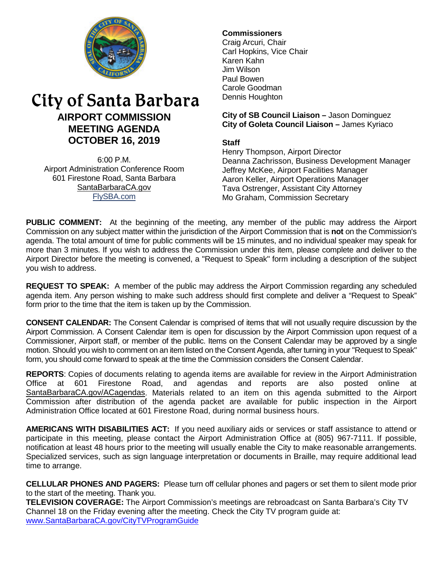

# City of Santa Barbara **AIRPORT COMMISSION MEETING AGENDA OCTOBER 16, 2019**

6:00 P.M. Airport Administration Conference Room 601 Firestone Road, Santa Barbara [SantaBarbaraCA.gov](http://www.santabarbaraca.gov/) [FlySBA.com](http://www.santabarbaraca.gov/gov/depts/flysba/default.asp?utm_source=FlySBA&utm_medium=Redirect&utm_campaign=ReferralTracking)

# **Commissioners**

Craig Arcuri, Chair Carl Hopkins, Vice Chair Karen Kahn Jim Wilson Paul Bowen Carole Goodman Dennis Houghton

**City of SB Council Liaison –** Jason Dominguez **City of Goleta Council Liaison –** James Kyriaco

## **Staff**

Henry Thompson, Airport Director Deanna Zachrisson, Business Development Manager Jeffrey McKee, Airport Facilities Manager Aaron Keller, Airport Operations Manager Tava Ostrenger, Assistant City Attorney Mo Graham, Commission Secretary

**PUBLIC COMMENT:** At the beginning of the meeting, any member of the public may address the Airport Commission on any subject matter within the jurisdiction of the Airport Commission that is **not** on the Commission's agenda. The total amount of time for public comments will be 15 minutes, and no individual speaker may speak for more than 3 minutes. If you wish to address the Commission under this item, please complete and deliver to the Airport Director before the meeting is convened, a "Request to Speak" form including a description of the subject you wish to address.

**REQUEST TO SPEAK:** A member of the public may address the Airport Commission regarding any scheduled agenda item. Any person wishing to make such address should first complete and deliver a "Request to Speak" form prior to the time that the item is taken up by the Commission.

**CONSENT CALENDAR:** The Consent Calendar is comprised of items that will not usually require discussion by the Airport Commission. A Consent Calendar item is open for discussion by the Airport Commission upon request of a Commissioner, Airport staff, or member of the public. Items on the Consent Calendar may be approved by a single motion. Should you wish to comment on an item listed on the Consent Agenda, after turning in your "Request to Speak" form, you should come forward to speak at the time the Commission considers the Consent Calendar.

**REPORTS**: Copies of documents relating to agenda items are available for review in the Airport Administration Office at 601 Firestone Road, and agendas and reports are also posted online at [SantaBarbaraCA.gov/ACagendas.](http://www.santabarbaraca.gov/gov/brdcomm/ac/airport/agendas.asp) Materials related to an item on this agenda submitted to the Airport Commission after distribution of the agenda packet are available for public inspection in the Airport Administration Office located at 601 Firestone Road, during normal business hours.

**AMERICANS WITH DISABILITIES ACT:** If you need auxiliary aids or services or staff assistance to attend or participate in this meeting, please contact the Airport Administration Office at (805) 967-7111. If possible, notification at least 48 hours prior to the meeting will usually enable the City to make reasonable arrangements. Specialized services, such as sign language interpretation or documents in Braille, may require additional lead time to arrange.

**CELLULAR PHONES AND PAGERS:** Please turn off cellular phones and pagers or set them to silent mode prior to the start of the meeting. Thank you.

**TELEVISION COVERAGE:** The Airport Commission's meetings are rebroadcast on Santa Barbara's City TV Channel 18 on the Friday evening after the meeting. Check the City TV program guide at: [www.SantaBarbaraCA.gov/CityTVProgramGuide](http://www.santabarbaraca.gov/CityTVProgramGuide)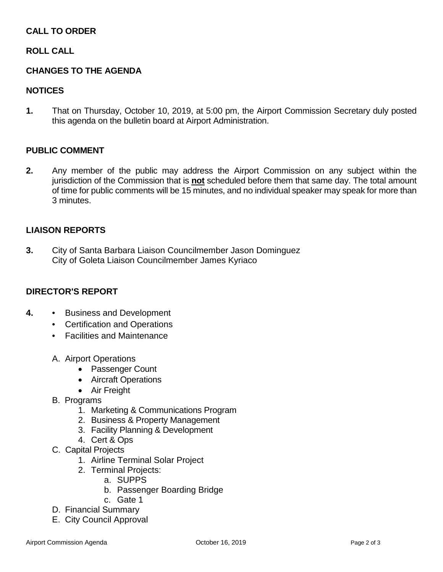# **CALL TO ORDER**

## **ROLL CALL**

## **CHANGES TO THE AGENDA**

### **NOTICES**

**1.** That on Thursday, October 10, 2019, at 5:00 pm, the Airport Commission Secretary duly posted this agenda on the bulletin board at Airport Administration.

#### **PUBLIC COMMENT**

**2.** Any member of the public may address the Airport Commission on any subject within the jurisdiction of the Commission that is **not** scheduled before them that same day. The total amount of time for public comments will be 15 minutes, and no individual speaker may speak for more than 3 minutes.

#### **LIAISON REPORTS**

**3.** City of Santa Barbara Liaison Councilmember Jason Dominguez City of Goleta Liaison Councilmember James Kyriaco

#### **DIRECTOR'S REPORT**

- **4.** Business and Development
	- Certification and Operations
	- Facilities and Maintenance
	- A. Airport Operations
		- Passenger Count
		- Aircraft Operations
		- Air Freight
	- B. Programs
		- 1. Marketing & Communications Program
		- 2. Business & Property Management
		- 3. Facility Planning & Development
		- 4. Cert & Ops
	- C. Capital Projects
		- 1. Airline Terminal Solar Project
		- 2. Terminal Projects:
			- a. SUPPS
			- b. Passenger Boarding Bridge
			- c. Gate 1
	- D. Financial Summary
	- E. City Council Approval